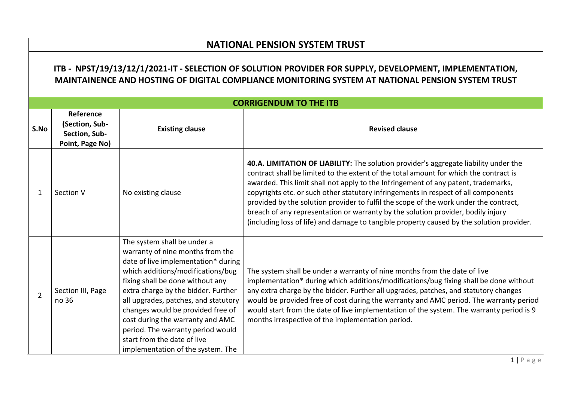## **NATIONAL PENSION SYSTEM TRUST**

## **ITB - NPST/19/13/12/1/2021-IT - SELECTION OF SOLUTION PROVIDER FOR SUPPLY, DEVELOPMENT, IMPLEMENTATION, MAINTAINENCE AND HOSTING OF DIGITAL COMPLIANCE MONITORING SYSTEM AT NATIONAL PENSION SYSTEM TRUST**

|                |                                                                 |                                                                                                                                                                                                                                                                                                                                                                                                                                                  | <b>CORRIGENDUM TO THE ITB</b>                                                                                                                                                                                                                                                                                                                                                                                                                                                                                                                                                                                                       |
|----------------|-----------------------------------------------------------------|--------------------------------------------------------------------------------------------------------------------------------------------------------------------------------------------------------------------------------------------------------------------------------------------------------------------------------------------------------------------------------------------------------------------------------------------------|-------------------------------------------------------------------------------------------------------------------------------------------------------------------------------------------------------------------------------------------------------------------------------------------------------------------------------------------------------------------------------------------------------------------------------------------------------------------------------------------------------------------------------------------------------------------------------------------------------------------------------------|
| S.No           | Reference<br>(Section, Sub-<br>Section, Sub-<br>Point, Page No) | <b>Existing clause</b>                                                                                                                                                                                                                                                                                                                                                                                                                           | <b>Revised clause</b>                                                                                                                                                                                                                                                                                                                                                                                                                                                                                                                                                                                                               |
| 1              | Section V                                                       | No existing clause                                                                                                                                                                                                                                                                                                                                                                                                                               | 40.A. LIMITATION OF LIABILITY: The solution provider's aggregate liability under the<br>contract shall be limited to the extent of the total amount for which the contract is<br>awarded. This limit shall not apply to the Infringement of any patent, trademarks,<br>copyrights etc. or such other statutory infringements in respect of all components<br>provided by the solution provider to fulfil the scope of the work under the contract,<br>breach of any representation or warranty by the solution provider, bodily injury<br>(including loss of life) and damage to tangible property caused by the solution provider. |
| $\overline{2}$ | Section III, Page<br>no 36                                      | The system shall be under a<br>warranty of nine months from the<br>date of live implementation* during<br>which additions/modifications/bug<br>fixing shall be done without any<br>extra charge by the bidder. Further<br>all upgrades, patches, and statutory<br>changes would be provided free of<br>cost during the warranty and AMC<br>period. The warranty period would<br>start from the date of live<br>implementation of the system. The | The system shall be under a warranty of nine months from the date of live<br>implementation* during which additions/modifications/bug fixing shall be done without<br>any extra charge by the bidder. Further all upgrades, patches, and statutory changes<br>would be provided free of cost during the warranty and AMC period. The warranty period<br>would start from the date of live implementation of the system. The warranty period is 9<br>months irrespective of the implementation period.                                                                                                                               |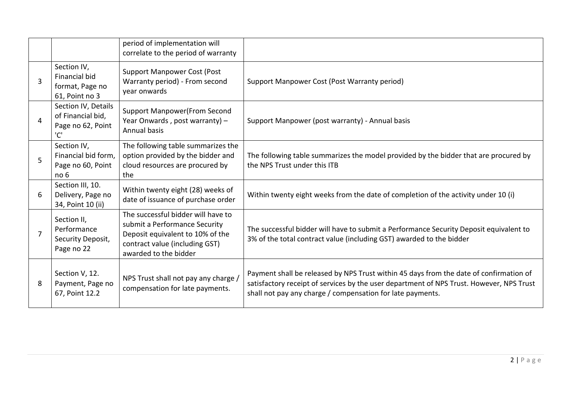|   |                                                                      | period of implementation will<br>correlate to the period of warranty                                                                                               |                                                                                                                                                                                                                                                  |
|---|----------------------------------------------------------------------|--------------------------------------------------------------------------------------------------------------------------------------------------------------------|--------------------------------------------------------------------------------------------------------------------------------------------------------------------------------------------------------------------------------------------------|
| 3 | Section IV,<br>Financial bid<br>format, Page no<br>61, Point no 3    | <b>Support Manpower Cost (Post</b><br>Warranty period) - From second<br>year onwards                                                                               | Support Manpower Cost (Post Warranty period)                                                                                                                                                                                                     |
| 4 | Section IV, Details<br>of Financial bid,<br>Page no 62, Point<br>'C' | <b>Support Manpower (From Second</b><br>Year Onwards, post warranty) -<br><b>Annual basis</b>                                                                      | Support Manpower (post warranty) - Annual basis                                                                                                                                                                                                  |
|   | Section IV,<br>Financial bid form,<br>Page no 60, Point<br>no 6      | The following table summarizes the<br>option provided by the bidder and<br>cloud resources are procured by<br>the                                                  | The following table summarizes the model provided by the bidder that are procured by<br>the NPS Trust under this ITB                                                                                                                             |
| 6 | Section III, 10.<br>Delivery, Page no<br>34, Point 10 (ii)           | Within twenty eight (28) weeks of<br>date of issuance of purchase order                                                                                            | Within twenty eight weeks from the date of completion of the activity under 10 (i)                                                                                                                                                               |
|   | Section II,<br>Performance<br>Security Deposit,<br>Page no 22        | The successful bidder will have to<br>submit a Performance Security<br>Deposit equivalent to 10% of the<br>contract value (including GST)<br>awarded to the bidder | The successful bidder will have to submit a Performance Security Deposit equivalent to<br>3% of the total contract value (including GST) awarded to the bidder                                                                                   |
| 8 | Section V, 12.<br>Payment, Page no<br>67, Point 12.2                 | NPS Trust shall not pay any charge /<br>compensation for late payments.                                                                                            | Payment shall be released by NPS Trust within 45 days from the date of confirmation of<br>satisfactory receipt of services by the user department of NPS Trust. However, NPS Trust<br>shall not pay any charge / compensation for late payments. |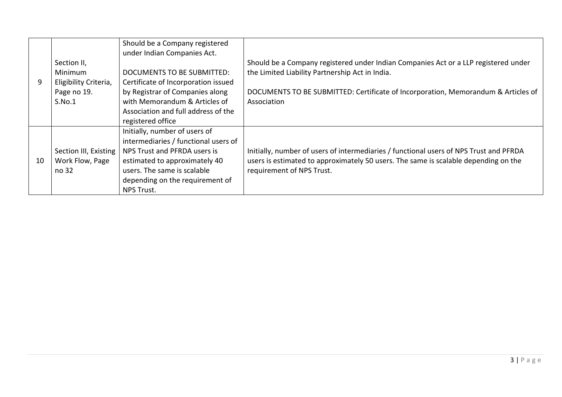|    |                       | Should be a Company registered       |                                                                                        |
|----|-----------------------|--------------------------------------|----------------------------------------------------------------------------------------|
|    |                       | under Indian Companies Act.          |                                                                                        |
|    | Section II,           |                                      | Should be a Company registered under Indian Companies Act or a LLP registered under    |
|    | Minimum               | DOCUMENTS TO BE SUBMITTED:           | the Limited Liability Partnership Act in India.                                        |
| 9  | Eligibility Criteria, | Certificate of Incorporation issued  |                                                                                        |
|    | Page no 19.           | by Registrar of Companies along      | DOCUMENTS TO BE SUBMITTED: Certificate of Incorporation, Memorandum & Articles of      |
|    | S.No.1                | with Memorandum & Articles of        | Association                                                                            |
|    |                       | Association and full address of the  |                                                                                        |
|    |                       | registered office                    |                                                                                        |
|    |                       | Initially, number of users of        |                                                                                        |
|    |                       | intermediaries / functional users of |                                                                                        |
|    | Section III, Existing | NPS Trust and PFRDA users is         | Initially, number of users of intermediaries / functional users of NPS Trust and PFRDA |
| 10 | Work Flow, Page       | estimated to approximately 40        | users is estimated to approximately 50 users. The same is scalable depending on the    |
|    | no 32                 | users. The same is scalable          | requirement of NPS Trust.                                                              |
|    |                       | depending on the requirement of      |                                                                                        |
|    |                       | <b>NPS Trust.</b>                    |                                                                                        |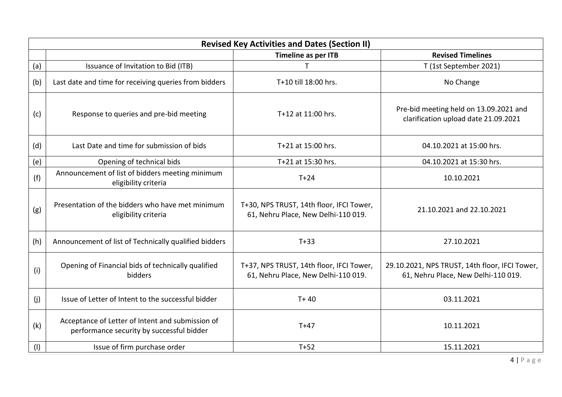|     | <b>Revised Key Activities and Dates (Section II)</b>                                          |                                                                                 |                                                                                       |  |
|-----|-----------------------------------------------------------------------------------------------|---------------------------------------------------------------------------------|---------------------------------------------------------------------------------------|--|
|     |                                                                                               | Timeline as per ITB                                                             | <b>Revised Timelines</b>                                                              |  |
| (a) | Issuance of Invitation to Bid (ITB)                                                           | T                                                                               | T (1st September 2021)                                                                |  |
| (b) | Last date and time for receiving queries from bidders                                         | T+10 till 18:00 hrs.                                                            | No Change                                                                             |  |
| (c) | Response to queries and pre-bid meeting                                                       | T+12 at 11:00 hrs.                                                              | Pre-bid meeting held on 13.09.2021 and<br>clarification upload date 21.09.2021        |  |
| (d) | Last Date and time for submission of bids                                                     | T+21 at 15:00 hrs.                                                              | 04.10.2021 at 15:00 hrs.                                                              |  |
| (e) | Opening of technical bids                                                                     | T+21 at 15:30 hrs.                                                              | 04.10.2021 at 15:30 hrs.                                                              |  |
| (f) | Announcement of list of bidders meeting minimum<br>eligibility criteria                       | $T+24$                                                                          | 10.10.2021                                                                            |  |
| (g) | Presentation of the bidders who have met minimum<br>eligibility criteria                      | T+30, NPS TRUST, 14th floor, IFCI Tower,<br>61, Nehru Place, New Delhi-110 019. | 21.10.2021 and 22.10.2021                                                             |  |
| (h) | Announcement of list of Technically qualified bidders                                         | $T+33$                                                                          | 27.10.2021                                                                            |  |
| (i) | Opening of Financial bids of technically qualified<br>bidders                                 | T+37, NPS TRUST, 14th floor, IFCI Tower,<br>61, Nehru Place, New Delhi-110 019. | 29.10.2021, NPS TRUST, 14th floor, IFCI Tower,<br>61, Nehru Place, New Delhi-110 019. |  |
| (i) | Issue of Letter of Intent to the successful bidder                                            | $T + 40$                                                                        | 03.11.2021                                                                            |  |
| (k) | Acceptance of Letter of Intent and submission of<br>performance security by successful bidder | $T+47$                                                                          | 10.11.2021                                                                            |  |
| (1) | Issue of firm purchase order                                                                  | $T+52$                                                                          | 15.11.2021                                                                            |  |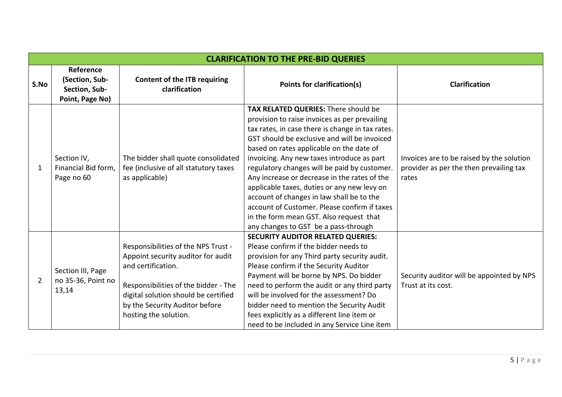|                |                                                                 |                                                                                                                                                                                                                                            | <b>CLARIFICATION TO THE PRE-BID QUERIES</b>                                                                                                                                                                                                                                                                                                                                                                                                                                                                                                                                                                        |                                                                                               |
|----------------|-----------------------------------------------------------------|--------------------------------------------------------------------------------------------------------------------------------------------------------------------------------------------------------------------------------------------|--------------------------------------------------------------------------------------------------------------------------------------------------------------------------------------------------------------------------------------------------------------------------------------------------------------------------------------------------------------------------------------------------------------------------------------------------------------------------------------------------------------------------------------------------------------------------------------------------------------------|-----------------------------------------------------------------------------------------------|
| S.No           | Reference<br>(Section, Sub-<br>Section, Sub-<br>Point, Page No) | <b>Content of the ITB requiring</b><br>clarification                                                                                                                                                                                       | Points for clarification(s)                                                                                                                                                                                                                                                                                                                                                                                                                                                                                                                                                                                        | <b>Clarification</b>                                                                          |
| 1              | Section IV,<br>Financial Bid form,<br>Page no 60                | The bidder shall quote consolidated<br>fee (inclusive of all statutory taxes<br>as applicable)                                                                                                                                             | TAX RELATED QUERIES: There should be<br>provision to raise invoices as per prevailing<br>tax rates, in case there is change in tax rates.<br>GST should be exclusive and will be invoiced<br>based on rates applicable on the date of<br>invoicing. Any new taxes introduce as part<br>regulatory changes will be paid by customer.<br>Any increase or decrease in the rates of the<br>applicable taxes, duties or any new levy on<br>account of changes in law shall be to the<br>account of Customer. Please confirm if taxes<br>in the form mean GST. Also request that<br>any changes to GST be a pass-through | Invoices are to be raised by the solution<br>provider as per the then prevailing tax<br>rates |
| $\overline{2}$ | Section III, Page<br>no 35-36, Point no<br>13,14                | Responsibilities of the NPS Trust -<br>Appoint security auditor for audit<br>and certification.<br>Responsibilities of the bidder - The<br>digital solution should be certified<br>by the Security Auditor before<br>hosting the solution. | <b>SECURITY AUDITOR RELATED QUERIES:</b><br>Please confirm if the bidder needs to<br>provision for any Third party security audit.<br>Please confirm if the Security Auditor<br>Payment will be borne by NPS. Do bidder<br>need to perform the audit or any third party<br>will be involved for the assessment? Do<br>bidder need to mention the Security Audit<br>fees explicitly as a different line item or<br>need to be included in any Service Line item                                                                                                                                                     | Security auditor will be appointed by NPS<br>Trust at its cost.                               |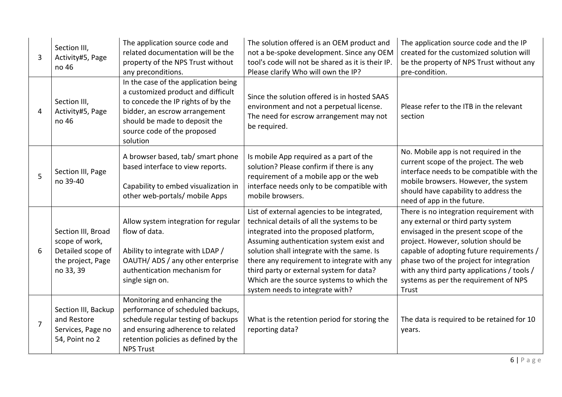| 3              | Section III,<br>Activity#5, Page<br>no 46                                                   | The application source code and<br>related documentation will be the<br>property of the NPS Trust without<br>any preconditions.                                                                                               | The solution offered is an OEM product and<br>not a be-spoke development. Since any OEM<br>tool's code will not be shared as it is their IP.<br>Please clarify Who will own the IP?                                                                                                                                                                                                                      | The application source code and the IP<br>created for the customized solution will<br>be the property of NPS Trust without any<br>pre-condition.                                                                                                                                                                                                          |
|----------------|---------------------------------------------------------------------------------------------|-------------------------------------------------------------------------------------------------------------------------------------------------------------------------------------------------------------------------------|----------------------------------------------------------------------------------------------------------------------------------------------------------------------------------------------------------------------------------------------------------------------------------------------------------------------------------------------------------------------------------------------------------|-----------------------------------------------------------------------------------------------------------------------------------------------------------------------------------------------------------------------------------------------------------------------------------------------------------------------------------------------------------|
| 4              | Section III,<br>Activity#5, Page<br>no 46                                                   | In the case of the application being<br>a customized product and difficult<br>to concede the IP rights of by the<br>bidder, an escrow arrangement<br>should be made to deposit the<br>source code of the proposed<br>solution | Since the solution offered is in hosted SAAS<br>environment and not a perpetual license.<br>The need for escrow arrangement may not<br>be required.                                                                                                                                                                                                                                                      | Please refer to the ITB in the relevant<br>section                                                                                                                                                                                                                                                                                                        |
| 5              | Section III, Page<br>no 39-40                                                               | A browser based, tab/ smart phone<br>based interface to view reports.<br>Capability to embed visualization in<br>other web-portals/ mobile Apps                                                                               | Is mobile App required as a part of the<br>solution? Please confirm if there is any<br>requirement of a mobile app or the web<br>interface needs only to be compatible with<br>mobile browsers.                                                                                                                                                                                                          | No. Mobile app is not required in the<br>current scope of the project. The web<br>interface needs to be compatible with the<br>mobile browsers. However, the system<br>should have capability to address the<br>need of app in the future.                                                                                                                |
| 6              | Section III, Broad<br>scope of work,<br>Detailed scope of<br>the project, Page<br>no 33, 39 | Allow system integration for regular<br>flow of data.<br>Ability to integrate with LDAP /<br>OAUTH/ADS/any other enterprise<br>authentication mechanism for<br>single sign on.                                                | List of external agencies to be integrated,<br>technical details of all the systems to be<br>integrated into the proposed platform,<br>Assuming authentication system exist and<br>solution shall integrate with the same. Is<br>there any requirement to integrate with any<br>third party or external system for data?<br>Which are the source systems to which the<br>system needs to integrate with? | There is no integration requirement with<br>any external or third party system<br>envisaged in the present scope of the<br>project. However, solution should be<br>capable of adopting future requirements /<br>phase two of the project for integration<br>with any third party applications / tools /<br>systems as per the requirement of NPS<br>Trust |
| $\overline{7}$ | Section III, Backup<br>and Restore<br>Services, Page no<br>54, Point no 2                   | Monitoring and enhancing the<br>performance of scheduled backups,<br>schedule regular testing of backups<br>and ensuring adherence to related<br>retention policies as defined by the<br><b>NPS Trust</b>                     | What is the retention period for storing the<br>reporting data?                                                                                                                                                                                                                                                                                                                                          | The data is required to be retained for 10<br>years.                                                                                                                                                                                                                                                                                                      |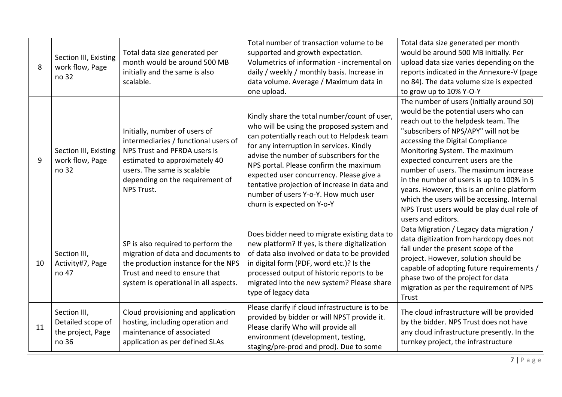| 8  | Section III, Existing<br>work flow, Page<br>no 32               | Total data size generated per<br>month would be around 500 MB<br>initially and the same is also<br>scalable.                                                                                                           | Total number of transaction volume to be<br>supported and growth expectation.<br>Volumetrics of information - incremental on<br>daily / weekly / monthly basis. Increase in<br>data volume. Average / Maximum data in<br>one upload.                                                                                                                                                                                                        | Total data size generated per month<br>would be around 500 MB initially. Per<br>upload data size varies depending on the<br>reports indicated in the Annexure-V (page<br>no 84). The data volume size is expected<br>to grow up to 10% Y-O-Y                                                                                                                                                                                                                                                                                       |
|----|-----------------------------------------------------------------|------------------------------------------------------------------------------------------------------------------------------------------------------------------------------------------------------------------------|---------------------------------------------------------------------------------------------------------------------------------------------------------------------------------------------------------------------------------------------------------------------------------------------------------------------------------------------------------------------------------------------------------------------------------------------|------------------------------------------------------------------------------------------------------------------------------------------------------------------------------------------------------------------------------------------------------------------------------------------------------------------------------------------------------------------------------------------------------------------------------------------------------------------------------------------------------------------------------------|
| 9  | Section III, Existing<br>work flow, Page<br>no 32               | Initially, number of users of<br>intermediaries / functional users of<br>NPS Trust and PFRDA users is<br>estimated to approximately 40<br>users. The same is scalable<br>depending on the requirement of<br>NPS Trust. | Kindly share the total number/count of user,<br>who will be using the proposed system and<br>can potentially reach out to Helpdesk team<br>for any interruption in services. Kindly<br>advise the number of subscribers for the<br>NPS portal. Please confirm the maximum<br>expected user concurrency. Please give a<br>tentative projection of increase in data and<br>number of users Y-o-Y. How much user<br>churn is expected on Y-o-Y | The number of users (initially around 50)<br>would be the potential users who can<br>reach out to the helpdesk team. The<br>"subscribers of NPS/APY" will not be<br>accessing the Digital Compliance<br>Monitoring System. The maximum<br>expected concurrent users are the<br>number of users. The maximum increase<br>in the number of users is up to 100% in 5<br>years. However, this is an online platform<br>which the users will be accessing. Internal<br>NPS Trust users would be play dual role of<br>users and editors. |
| 10 | Section III,<br>Activity#7, Page<br>no 47                       | SP is also required to perform the<br>migration of data and documents to<br>the production instance for the NPS<br>Trust and need to ensure that<br>system is operational in all aspects.                              | Does bidder need to migrate existing data to<br>new platform? If yes, is there digitalization<br>of data also involved or data to be provided<br>in digital form (PDF, word etc.)? Is the<br>processed output of historic reports to be<br>migrated into the new system? Please share<br>type of legacy data                                                                                                                                | Data Migration / Legacy data migration /<br>data digitization from hardcopy does not<br>fall under the present scope of the<br>project. However, solution should be<br>capable of adopting future requirements /<br>phase two of the project for data<br>migration as per the requirement of NPS<br>Trust                                                                                                                                                                                                                          |
| 11 | Section III,<br>Detailed scope of<br>the project, Page<br>no 36 | Cloud provisioning and application<br>hosting, including operation and<br>maintenance of associated<br>application as per defined SLAs                                                                                 | Please clarify if cloud infrastructure is to be<br>provided by bidder or will NPST provide it.<br>Please clarify Who will provide all<br>environment (development, testing,<br>staging/pre-prod and prod). Due to some                                                                                                                                                                                                                      | The cloud infrastructure will be provided<br>by the bidder. NPS Trust does not have<br>any cloud infrastructure presently. In the<br>turnkey project, the infrastructure                                                                                                                                                                                                                                                                                                                                                           |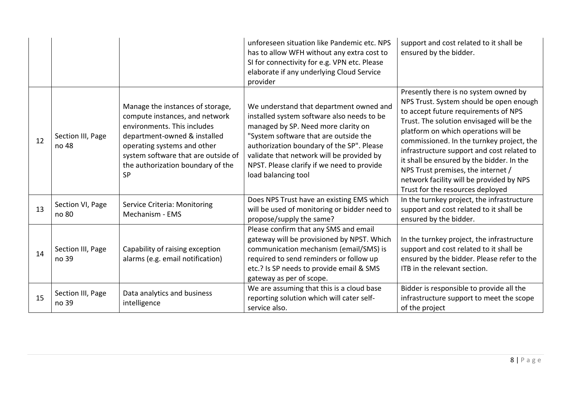|    |                            |                                                                                                                                                                                                                                                           | unforeseen situation like Pandemic etc. NPS<br>has to allow WFH without any extra cost to<br>SI for connectivity for e.g. VPN etc. Please<br>elaborate if any underlying Cloud Service<br>provider                                                                                                                                   | support and cost related to it shall be<br>ensured by the bidder.                                                                                                                                                                                                                                                                                                                                                                                                           |
|----|----------------------------|-----------------------------------------------------------------------------------------------------------------------------------------------------------------------------------------------------------------------------------------------------------|--------------------------------------------------------------------------------------------------------------------------------------------------------------------------------------------------------------------------------------------------------------------------------------------------------------------------------------|-----------------------------------------------------------------------------------------------------------------------------------------------------------------------------------------------------------------------------------------------------------------------------------------------------------------------------------------------------------------------------------------------------------------------------------------------------------------------------|
| 12 | Section III, Page<br>no 48 | Manage the instances of storage,<br>compute instances, and network<br>environments. This includes<br>department-owned & installed<br>operating systems and other<br>system software that are outside of<br>the authorization boundary of the<br><b>SP</b> | We understand that department owned and<br>installed system software also needs to be<br>managed by SP. Need more clarity on<br>"System software that are outside the<br>authorization boundary of the SP". Please<br>validate that network will be provided by<br>NPST. Please clarify if we need to provide<br>load balancing tool | Presently there is no system owned by<br>NPS Trust. System should be open enough<br>to accept future requirements of NPS<br>Trust. The solution envisaged will be the<br>platform on which operations will be<br>commissioned. In the turnkey project, the<br>infrastructure support and cost related to<br>it shall be ensured by the bidder. In the<br>NPS Trust premises, the internet /<br>network facility will be provided by NPS<br>Trust for the resources deployed |
| 13 | Section VI, Page<br>no 80  | Service Criteria: Monitoring<br>Mechanism - EMS                                                                                                                                                                                                           | Does NPS Trust have an existing EMS which<br>will be used of monitoring or bidder need to<br>propose/supply the same?                                                                                                                                                                                                                | In the turnkey project, the infrastructure<br>support and cost related to it shall be<br>ensured by the bidder.                                                                                                                                                                                                                                                                                                                                                             |
| 14 | Section III, Page<br>no 39 | Capability of raising exception<br>alarms (e.g. email notification)                                                                                                                                                                                       | Please confirm that any SMS and email<br>gateway will be provisioned by NPST. Which<br>communication mechanism (email/SMS) is<br>required to send reminders or follow up<br>etc.? Is SP needs to provide email & SMS<br>gateway as per of scope.                                                                                     | In the turnkey project, the infrastructure<br>support and cost related to it shall be<br>ensured by the bidder. Please refer to the<br>ITB in the relevant section.                                                                                                                                                                                                                                                                                                         |
| 15 | Section III, Page<br>no 39 | Data analytics and business<br>intelligence                                                                                                                                                                                                               | We are assuming that this is a cloud base<br>reporting solution which will cater self-<br>service also.                                                                                                                                                                                                                              | Bidder is responsible to provide all the<br>infrastructure support to meet the scope<br>of the project                                                                                                                                                                                                                                                                                                                                                                      |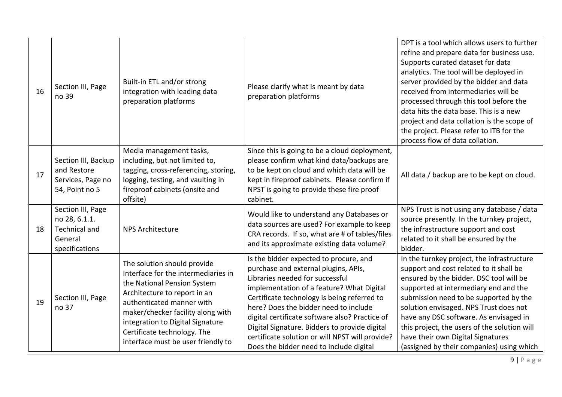| 16 | Section III, Page<br>no 39                                                              | Built-in ETL and/or strong<br>integration with leading data<br>preparation platforms                                                                                                                                                                                                                         | Please clarify what is meant by data<br>preparation platforms                                                                                                                                                                                                                                                                                                                                                                                           | DPT is a tool which allows users to further<br>refine and prepare data for business use.<br>Supports curated dataset for data<br>analytics. The tool will be deployed in<br>server provided by the bidder and data<br>received from intermediaries will be<br>processed through this tool before the<br>data hits the data base. This is a new<br>project and data collation is the scope of<br>the project. Please refer to ITB for the<br>process flow of data collation. |
|----|-----------------------------------------------------------------------------------------|--------------------------------------------------------------------------------------------------------------------------------------------------------------------------------------------------------------------------------------------------------------------------------------------------------------|---------------------------------------------------------------------------------------------------------------------------------------------------------------------------------------------------------------------------------------------------------------------------------------------------------------------------------------------------------------------------------------------------------------------------------------------------------|-----------------------------------------------------------------------------------------------------------------------------------------------------------------------------------------------------------------------------------------------------------------------------------------------------------------------------------------------------------------------------------------------------------------------------------------------------------------------------|
| 17 | Section III, Backup<br>and Restore<br>Services, Page no<br>54, Point no 5               | Media management tasks,<br>including, but not limited to,<br>tagging, cross-referencing, storing,<br>logging, testing, and vaulting in<br>fireproof cabinets (onsite and<br>offsite)                                                                                                                         | Since this is going to be a cloud deployment,<br>please confirm what kind data/backups are<br>to be kept on cloud and which data will be<br>kept in fireproof cabinets. Please confirm if<br>NPST is going to provide these fire proof<br>cabinet.                                                                                                                                                                                                      | All data / backup are to be kept on cloud.                                                                                                                                                                                                                                                                                                                                                                                                                                  |
| 18 | Section III, Page<br>no 28, 6.1.1.<br><b>Technical and</b><br>General<br>specifications | <b>NPS Architecture</b>                                                                                                                                                                                                                                                                                      | Would like to understand any Databases or<br>data sources are used? For example to keep<br>CRA records. If so, what are # of tables/files<br>and its approximate existing data volume?                                                                                                                                                                                                                                                                  | NPS Trust is not using any database / data<br>source presently. In the turnkey project,<br>the infrastructure support and cost<br>related to it shall be ensured by the<br>bidder.                                                                                                                                                                                                                                                                                          |
| 19 | Section III, Page<br>no 37                                                              | The solution should provide<br>Interface for the intermediaries in<br>the National Pension System<br>Architecture to report in an<br>authenticated manner with<br>maker/checker facility along with<br>integration to Digital Signature<br>Certificate technology. The<br>interface must be user friendly to | Is the bidder expected to procure, and<br>purchase and external plugins, APIs,<br>Libraries needed for successful<br>implementation of a feature? What Digital<br>Certificate technology is being referred to<br>here? Does the bidder need to include<br>digital certificate software also? Practice of<br>Digital Signature. Bidders to provide digital<br>certificate solution or will NPST will provide?<br>Does the bidder need to include digital | In the turnkey project, the infrastructure<br>support and cost related to it shall be<br>ensured by the bidder. DSC tool will be<br>supported at intermediary end and the<br>submission need to be supported by the<br>solution envisaged. NPS Trust does not<br>have any DSC software. As envisaged in<br>this project, the users of the solution will<br>have their own Digital Signatures<br>(assigned by their companies) using which                                   |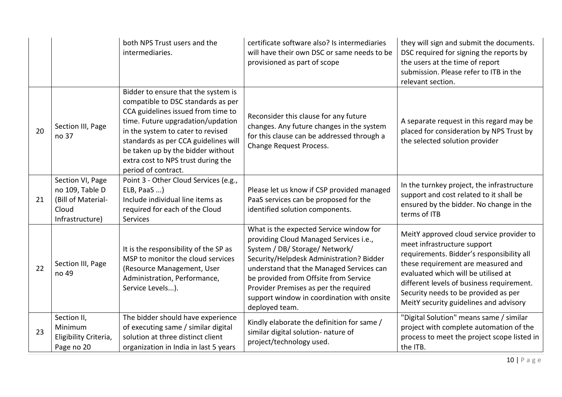|    |                                                                                       | both NPS Trust users and the<br>intermediaries.                                                                                                                                                                                                                                                                                     | certificate software also? Is intermediaries<br>will have their own DSC or same needs to be<br>provisioned as part of scope                                                                                                                                                                                                                                   | they will sign and submit the documents.<br>DSC required for signing the reports by<br>the users at the time of report<br>submission. Please refer to ITB in the<br>relevant section.                                                                                                                                            |
|----|---------------------------------------------------------------------------------------|-------------------------------------------------------------------------------------------------------------------------------------------------------------------------------------------------------------------------------------------------------------------------------------------------------------------------------------|---------------------------------------------------------------------------------------------------------------------------------------------------------------------------------------------------------------------------------------------------------------------------------------------------------------------------------------------------------------|----------------------------------------------------------------------------------------------------------------------------------------------------------------------------------------------------------------------------------------------------------------------------------------------------------------------------------|
| 20 | Section III, Page<br>no 37                                                            | Bidder to ensure that the system is<br>compatible to DSC standards as per<br>CCA guidelines issued from time to<br>time. Future upgradation/updation<br>in the system to cater to revised<br>standards as per CCA guidelines will<br>be taken up by the bidder without<br>extra cost to NPS trust during the<br>period of contract. | Reconsider this clause for any future<br>changes. Any future changes in the system<br>for this clause can be addressed through a<br><b>Change Request Process.</b>                                                                                                                                                                                            | A separate request in this regard may be<br>placed for consideration by NPS Trust by<br>the selected solution provider                                                                                                                                                                                                           |
| 21 | Section VI, Page<br>no 109, Table D<br>(Bill of Material-<br>Cloud<br>Infrastructure) | Point 3 - Other Cloud Services (e.g.,<br>ELB, PaaS )<br>Include individual line items as<br>required for each of the Cloud<br>Services                                                                                                                                                                                              | Please let us know if CSP provided managed<br>PaaS services can be proposed for the<br>identified solution components.                                                                                                                                                                                                                                        | In the turnkey project, the infrastructure<br>support and cost related to it shall be<br>ensured by the bidder. No change in the<br>terms of ITB                                                                                                                                                                                 |
| 22 | Section III, Page<br>no 49                                                            | It is the responsibility of the SP as<br>MSP to monitor the cloud services<br>(Resource Management, User<br>Administration, Performance,<br>Service Levels).                                                                                                                                                                        | What is the expected Service window for<br>providing Cloud Managed Services i.e.,<br>System / DB/ Storage/ Network/<br>Security/Helpdesk Administration? Bidder<br>understand that the Managed Services can<br>be provided from Offsite from Service<br>Provider Premises as per the required<br>support window in coordination with onsite<br>deployed team. | MeitY approved cloud service provider to<br>meet infrastructure support<br>requirements. Bidder's responsibility all<br>these requirement are measured and<br>evaluated which will be utilised at<br>different levels of business requirement.<br>Security needs to be provided as per<br>MeitY security guidelines and advisory |
| 23 | Section II,<br>Minimum<br>Eligibility Criteria,<br>Page no 20                         | The bidder should have experience<br>of executing same / similar digital<br>solution at three distinct client<br>organization in India in last 5 years                                                                                                                                                                              | Kindly elaborate the definition for same /<br>similar digital solution- nature of<br>project/technology used.                                                                                                                                                                                                                                                 | "Digital Solution" means same / similar<br>project with complete automation of the<br>process to meet the project scope listed in<br>the ITB.                                                                                                                                                                                    |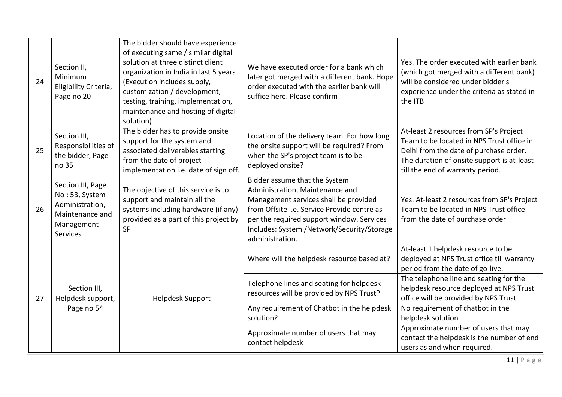| 24 | Section II,<br>Minimum<br>Eligibility Criteria,<br>Page no 20                                              | The bidder should have experience<br>of executing same / similar digital<br>solution at three distinct client<br>organization in India in last 5 years<br>(Execution includes supply,<br>customization / development,<br>testing, training, implementation,<br>maintenance and hosting of digital<br>solution) | We have executed order for a bank which<br>later got merged with a different bank. Hope<br>order executed with the earlier bank will<br>suffice here. Please confirm                                                                                                   | Yes. The order executed with earlier bank<br>(which got merged with a different bank)<br>will be considered under bidder's<br>experience under the criteria as stated in<br>the ITB                             |
|----|------------------------------------------------------------------------------------------------------------|----------------------------------------------------------------------------------------------------------------------------------------------------------------------------------------------------------------------------------------------------------------------------------------------------------------|------------------------------------------------------------------------------------------------------------------------------------------------------------------------------------------------------------------------------------------------------------------------|-----------------------------------------------------------------------------------------------------------------------------------------------------------------------------------------------------------------|
| 25 | Section III,<br>Responsibilities of<br>the bidder, Page<br>no 35                                           | The bidder has to provide onsite<br>support for the system and<br>associated deliverables starting<br>from the date of project<br>implementation i.e. date of sign off.                                                                                                                                        | Location of the delivery team. For how long<br>the onsite support will be required? From<br>when the SP's project team is to be<br>deployed onsite?                                                                                                                    | At-least 2 resources from SP's Project<br>Team to be located in NPS Trust office in<br>Delhi from the date of purchase order.<br>The duration of onsite support is at-least<br>till the end of warranty period. |
| 26 | Section III, Page<br>No: 53, System<br>Administration,<br>Maintenance and<br>Management<br><b>Services</b> | The objective of this service is to<br>support and maintain all the<br>systems including hardware (if any)<br>provided as a part of this project by<br><b>SP</b>                                                                                                                                               | Bidder assume that the System<br>Administration, Maintenance and<br>Management services shall be provided<br>from Offsite i.e. Service Provide centre as<br>per the required support window. Services<br>Includes: System /Network/Security/Storage<br>administration. | Yes. At-least 2 resources from SP's Project<br>Team to be located in NPS Trust office<br>from the date of purchase order                                                                                        |
|    |                                                                                                            |                                                                                                                                                                                                                                                                                                                | Where will the helpdesk resource based at?                                                                                                                                                                                                                             | At-least 1 helpdesk resource to be<br>deployed at NPS Trust office till warranty<br>period from the date of go-live.                                                                                            |
| 27 | Section III,<br>Helpdesk support,<br>Page no 54                                                            | <b>Helpdesk Support</b>                                                                                                                                                                                                                                                                                        | Telephone lines and seating for helpdesk<br>resources will be provided by NPS Trust?                                                                                                                                                                                   | The telephone line and seating for the<br>helpdesk resource deployed at NPS Trust<br>office will be provided by NPS Trust                                                                                       |
|    |                                                                                                            |                                                                                                                                                                                                                                                                                                                | Any requirement of Chatbot in the helpdesk<br>solution?                                                                                                                                                                                                                | No requirement of chatbot in the<br>helpdesk solution                                                                                                                                                           |
|    |                                                                                                            |                                                                                                                                                                                                                                                                                                                | Approximate number of users that may<br>contact helpdesk                                                                                                                                                                                                               | Approximate number of users that may<br>contact the helpdesk is the number of end<br>users as and when required.                                                                                                |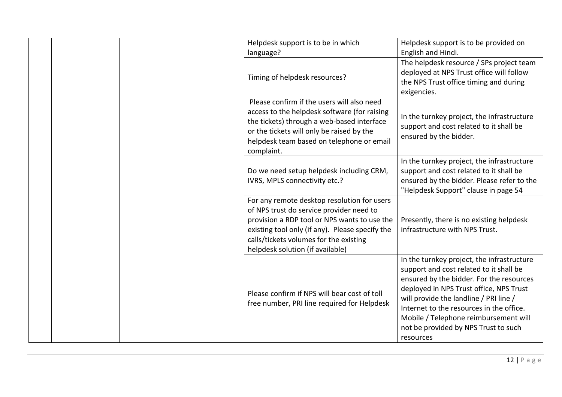| Helpdesk support is to be in which<br>language?                                                                                                                                                                                                                          | Helpdesk support is to be provided on<br>English and Hindi.                                                                                                                                                                                                                                                                                                      |
|--------------------------------------------------------------------------------------------------------------------------------------------------------------------------------------------------------------------------------------------------------------------------|------------------------------------------------------------------------------------------------------------------------------------------------------------------------------------------------------------------------------------------------------------------------------------------------------------------------------------------------------------------|
| Timing of helpdesk resources?                                                                                                                                                                                                                                            | The helpdesk resource / SPs project team<br>deployed at NPS Trust office will follow<br>the NPS Trust office timing and during<br>exigencies.                                                                                                                                                                                                                    |
| Please confirm if the users will also need<br>access to the helpdesk software (for raising<br>the tickets) through a web-based interface<br>or the tickets will only be raised by the<br>helpdesk team based on telephone or email<br>complaint.                         | In the turnkey project, the infrastructure<br>support and cost related to it shall be<br>ensured by the bidder.                                                                                                                                                                                                                                                  |
| Do we need setup helpdesk including CRM,<br>IVRS, MPLS connectivity etc.?                                                                                                                                                                                                | In the turnkey project, the infrastructure<br>support and cost related to it shall be<br>ensured by the bidder. Please refer to the<br>"Helpdesk Support" clause in page 54                                                                                                                                                                                      |
| For any remote desktop resolution for users<br>of NPS trust do service provider need to<br>provision a RDP tool or NPS wants to use the<br>existing tool only (if any). Please specify the<br>calls/tickets volumes for the existing<br>helpdesk solution (if available) | Presently, there is no existing helpdesk<br>infrastructure with NPS Trust.                                                                                                                                                                                                                                                                                       |
| Please confirm if NPS will bear cost of toll<br>free number, PRI line required for Helpdesk                                                                                                                                                                              | In the turnkey project, the infrastructure<br>support and cost related to it shall be<br>ensured by the bidder. For the resources<br>deployed in NPS Trust office, NPS Trust<br>will provide the landline / PRI line /<br>Internet to the resources in the office.<br>Mobile / Telephone reimbursement will<br>not be provided by NPS Trust to such<br>resources |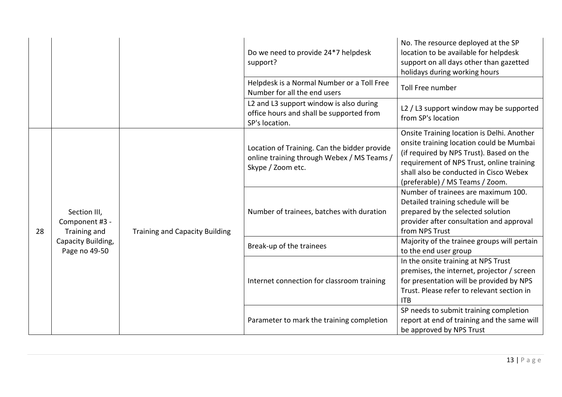|  |                                     |                                                | Do we need to provide 24*7 helpdesk<br>support?                                                                                                                                                                                                                             | No. The resource deployed at the SP<br>location to be available for helpdesk<br>support on all days other than gazetted<br>holidays during working hours                                                                                                     |                                                                                                                                                                              |
|--|-------------------------------------|------------------------------------------------|-----------------------------------------------------------------------------------------------------------------------------------------------------------------------------------------------------------------------------------------------------------------------------|--------------------------------------------------------------------------------------------------------------------------------------------------------------------------------------------------------------------------------------------------------------|------------------------------------------------------------------------------------------------------------------------------------------------------------------------------|
|  |                                     |                                                | Number for all the end users                                                                                                                                                                                                                                                | <b>Toll Free number</b>                                                                                                                                                                                                                                      |                                                                                                                                                                              |
|  |                                     |                                                | L2 and L3 support window is also during<br>office hours and shall be supported from<br>SP's location.                                                                                                                                                                       | L2 / L3 support window may be supported<br>from SP's location                                                                                                                                                                                                |                                                                                                                                                                              |
|  |                                     |                                                | Location of Training. Can the bidder provide<br>online training through Webex / MS Teams /<br>Skype / Zoom etc.                                                                                                                                                             | Onsite Training location is Delhi. Another<br>onsite training location could be Mumbai<br>(if required by NPS Trust). Based on the<br>requirement of NPS Trust, online training<br>shall also be conducted in Cisco Webex<br>(preferable) / MS Teams / Zoom. |                                                                                                                                                                              |
|  | 28                                  | Section III,<br>Component #3 -<br>Training and | <b>Training and Capacity Building</b>                                                                                                                                                                                                                                       | Number of trainees, batches with duration                                                                                                                                                                                                                    | Number of trainees are maximum 100.<br>Detailed training schedule will be<br>prepared by the selected solution<br>provider after consultation and approval<br>from NPS Trust |
|  | Capacity Building,<br>Page no 49-50 |                                                | Helpdesk is a Normal Number or a Toll Free<br>Break-up of the trainees<br>to the end user group<br>In the onsite training at NPS Trust<br>Internet connection for classroom training<br><b>ITB</b><br>Parameter to mark the training completion<br>be approved by NPS Trust | Majority of the trainee groups will pertain                                                                                                                                                                                                                  |                                                                                                                                                                              |
|  |                                     |                                                |                                                                                                                                                                                                                                                                             | premises, the internet, projector / screen<br>for presentation will be provided by NPS<br>Trust. Please refer to relevant section in                                                                                                                         |                                                                                                                                                                              |
|  |                                     |                                                |                                                                                                                                                                                                                                                                             | SP needs to submit training completion<br>report at end of training and the same will                                                                                                                                                                        |                                                                                                                                                                              |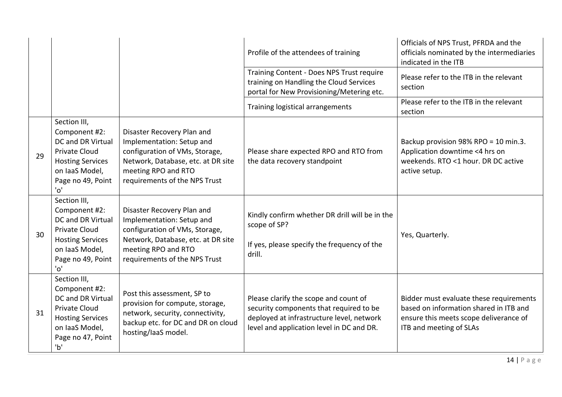|    |                                                                                                                                                                           |                                                                                                                                                                                         | Profile of the attendees of training                                                                                                                                       | Officials of NPS Trust, PFRDA and the<br>officials nominated by the intermediaries<br>indicated in the ITB                                             |
|----|---------------------------------------------------------------------------------------------------------------------------------------------------------------------------|-----------------------------------------------------------------------------------------------------------------------------------------------------------------------------------------|----------------------------------------------------------------------------------------------------------------------------------------------------------------------------|--------------------------------------------------------------------------------------------------------------------------------------------------------|
|    |                                                                                                                                                                           |                                                                                                                                                                                         | Training Content - Does NPS Trust require<br>training on Handling the Cloud Services<br>portal for New Provisioning/Metering etc.                                          | Please refer to the ITB in the relevant<br>section                                                                                                     |
|    |                                                                                                                                                                           |                                                                                                                                                                                         | Training logistical arrangements                                                                                                                                           | Please refer to the ITB in the relevant<br>section                                                                                                     |
| 29 | Section III,<br>Component #2:<br>DC and DR Virtual<br><b>Private Cloud</b><br><b>Hosting Services</b><br>on laaS Model,<br>Page no 49, Point<br>$^{\prime}$ O $^{\prime}$ | Disaster Recovery Plan and<br>Implementation: Setup and<br>configuration of VMs, Storage,<br>Network, Database, etc. at DR site<br>meeting RPO and RTO<br>requirements of the NPS Trust | Please share expected RPO and RTO from<br>the data recovery standpoint                                                                                                     | Backup provision 98% RPO = 10 min.3.<br>Application downtime <4 hrs on<br>weekends. RTO <1 hour. DR DC active<br>active setup.                         |
| 30 | Section III,<br>Component #2:<br>DC and DR Virtual<br>Private Cloud<br><b>Hosting Services</b><br>on laaS Model,<br>Page no 49, Point<br>$^{\prime}O^{\prime}$            | Disaster Recovery Plan and<br>Implementation: Setup and<br>configuration of VMs, Storage,<br>Network, Database, etc. at DR site<br>meeting RPO and RTO<br>requirements of the NPS Trust | Kindly confirm whether DR drill will be in the<br>scope of SP?<br>If yes, please specify the frequency of the<br>drill.                                                    | Yes, Quarterly.                                                                                                                                        |
| 31 | Section III,<br>Component #2:<br>DC and DR Virtual<br><b>Private Cloud</b><br><b>Hosting Services</b><br>on laaS Model,<br>Page no 47, Point<br>'b'                       | Post this assessment, SP to<br>provision for compute, storage,<br>network, security, connectivity,<br>backup etc. for DC and DR on cloud<br>hosting/laaS model.                         | Please clarify the scope and count of<br>security components that required to be<br>deployed at infrastructure level, network<br>level and application level in DC and DR. | Bidder must evaluate these requirements<br>based on information shared in ITB and<br>ensure this meets scope deliverance of<br>ITB and meeting of SLAs |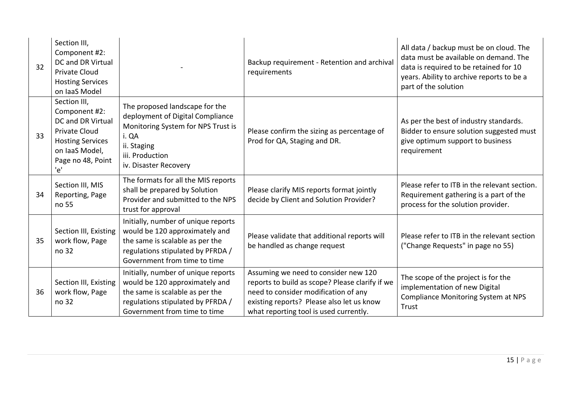| 32 | Section III,<br>Component #2:<br>DC and DR Virtual<br><b>Private Cloud</b><br><b>Hosting Services</b><br>on laaS Model                              |                                                                                                                                                                               | Backup requirement - Retention and archival<br>requirements                                                                                                                                                            | All data / backup must be on cloud. The<br>data must be available on demand. The<br>data is required to be retained for 10<br>years. Ability to archive reports to be a<br>part of the solution |
|----|-----------------------------------------------------------------------------------------------------------------------------------------------------|-------------------------------------------------------------------------------------------------------------------------------------------------------------------------------|------------------------------------------------------------------------------------------------------------------------------------------------------------------------------------------------------------------------|-------------------------------------------------------------------------------------------------------------------------------------------------------------------------------------------------|
| 33 | Section III,<br>Component #2:<br>DC and DR Virtual<br><b>Private Cloud</b><br><b>Hosting Services</b><br>on laaS Model,<br>Page no 48, Point<br>'e' | The proposed landscape for the<br>deployment of Digital Compliance<br>Monitoring System for NPS Trust is<br>i. QA<br>ii. Staging<br>iii. Production<br>iv. Disaster Recovery  | Please confirm the sizing as percentage of<br>Prod for QA, Staging and DR.                                                                                                                                             | As per the best of industry standards.<br>Bidder to ensure solution suggested must<br>give optimum support to business<br>requirement                                                           |
| 34 | Section III, MIS<br>Reporting, Page<br>no 55                                                                                                        | The formats for all the MIS reports<br>shall be prepared by Solution<br>Provider and submitted to the NPS<br>trust for approval                                               | Please clarify MIS reports format jointly<br>decide by Client and Solution Provider?                                                                                                                                   | Please refer to ITB in the relevant section.<br>Requirement gathering is a part of the<br>process for the solution provider.                                                                    |
| 35 | Section III, Existing<br>work flow, Page<br>no 32                                                                                                   | Initially, number of unique reports<br>would be 120 approximately and<br>the same is scalable as per the<br>regulations stipulated by PFRDA /<br>Government from time to time | Please validate that additional reports will<br>be handled as change request                                                                                                                                           | Please refer to ITB in the relevant section<br>("Change Requests" in page no 55)                                                                                                                |
| 36 | Section III, Existing<br>work flow, Page<br>no 32                                                                                                   | Initially, number of unique reports<br>would be 120 approximately and<br>the same is scalable as per the<br>regulations stipulated by PFRDA /<br>Government from time to time | Assuming we need to consider new 120<br>reports to build as scope? Please clarify if we<br>need to consider modification of any<br>existing reports? Please also let us know<br>what reporting tool is used currently. | The scope of the project is for the<br>implementation of new Digital<br>Compliance Monitoring System at NPS<br>Trust                                                                            |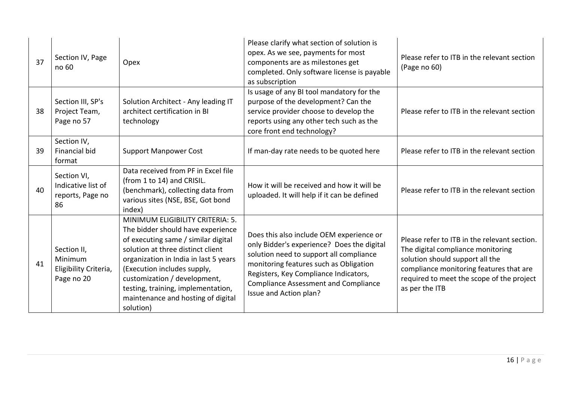| 37 | Section IV, Page<br>no 60                                     | Opex                                                                                                                                                                                                                                                                                                                                               | Please clarify what section of solution is<br>opex. As we see, payments for most<br>components are as milestones get<br>completed. Only software license is payable<br>as subscription                                                                                                        | Please refer to ITB in the relevant section<br>(Page no 60)                                                                                                                                                                    |
|----|---------------------------------------------------------------|----------------------------------------------------------------------------------------------------------------------------------------------------------------------------------------------------------------------------------------------------------------------------------------------------------------------------------------------------|-----------------------------------------------------------------------------------------------------------------------------------------------------------------------------------------------------------------------------------------------------------------------------------------------|--------------------------------------------------------------------------------------------------------------------------------------------------------------------------------------------------------------------------------|
| 38 | Section III, SP's<br>Project Team,<br>Page no 57              | Solution Architect - Any leading IT<br>architect certification in BI<br>technology                                                                                                                                                                                                                                                                 | Is usage of any BI tool mandatory for the<br>purpose of the development? Can the<br>service provider choose to develop the<br>reports using any other tech such as the<br>core front end technology?                                                                                          | Please refer to ITB in the relevant section                                                                                                                                                                                    |
| 39 | Section IV,<br><b>Financial bid</b><br>format                 | <b>Support Manpower Cost</b>                                                                                                                                                                                                                                                                                                                       | If man-day rate needs to be quoted here                                                                                                                                                                                                                                                       | Please refer to ITB in the relevant section                                                                                                                                                                                    |
| 40 | Section VI,<br>Indicative list of<br>reports, Page no<br>86   | Data received from PF in Excel file<br>(from 1 to 14) and CRISIL.<br>(benchmark), collecting data from<br>various sites (NSE, BSE, Got bond<br>index)                                                                                                                                                                                              | How it will be received and how it will be<br>uploaded. It will help if it can be defined                                                                                                                                                                                                     | Please refer to ITB in the relevant section                                                                                                                                                                                    |
| 41 | Section II,<br>Minimum<br>Eligibility Criteria,<br>Page no 20 | MINIMUM ELIGIBILITY CRITERIA: 5.<br>The bidder should have experience<br>of executing same / similar digital<br>solution at three distinct client<br>organization in India in last 5 years<br>(Execution includes supply,<br>customization / development,<br>testing, training, implementation,<br>maintenance and hosting of digital<br>solution) | Does this also include OEM experience or<br>only Bidder's experience? Does the digital<br>solution need to support all compliance<br>monitoring features such as Obligation<br>Registers, Key Compliance Indicators,<br><b>Compliance Assessment and Compliance</b><br>Issue and Action plan? | Please refer to ITB in the relevant section.<br>The digital compliance monitoring<br>solution should support all the<br>compliance monitoring features that are<br>required to meet the scope of the project<br>as per the ITB |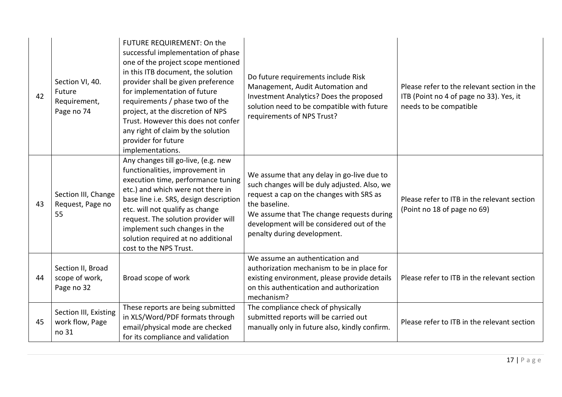| 42 | Section VI, 40.<br>Future<br>Requirement,<br>Page no 74 | FUTURE REQUIREMENT: On the<br>successful implementation of phase<br>one of the project scope mentioned<br>in this ITB document, the solution<br>provider shall be given preference<br>for implementation of future<br>requirements / phase two of the<br>project, at the discretion of NPS<br>Trust. However this does not confer<br>any right of claim by the solution<br>provider for future<br>implementations. | Do future requirements include Risk<br>Management, Audit Automation and<br>Investment Analytics? Does the proposed<br>solution need to be compatible with future<br>requirements of NPS Trust?                                                                                   | Please refer to the relevant section in the<br>ITB (Point no 4 of page no 33). Yes, it<br>needs to be compatible |
|----|---------------------------------------------------------|--------------------------------------------------------------------------------------------------------------------------------------------------------------------------------------------------------------------------------------------------------------------------------------------------------------------------------------------------------------------------------------------------------------------|----------------------------------------------------------------------------------------------------------------------------------------------------------------------------------------------------------------------------------------------------------------------------------|------------------------------------------------------------------------------------------------------------------|
| 43 | Section III, Change<br>Request, Page no<br>55           | Any changes till go-live, (e.g. new<br>functionalities, improvement in<br>execution time, performance tuning<br>etc.) and which were not there in<br>base line i.e. SRS, design description<br>etc. will not qualify as change<br>request. The solution provider will<br>implement such changes in the<br>solution required at no additional<br>cost to the NPS Trust.                                             | We assume that any delay in go-live due to<br>such changes will be duly adjusted. Also, we<br>request a cap on the changes with SRS as<br>the baseline.<br>We assume that The change requests during<br>development will be considered out of the<br>penalty during development. | Please refer to ITB in the relevant section<br>(Point no 18 of page no 69)                                       |
| 44 | Section II, Broad<br>scope of work,<br>Page no 32       | Broad scope of work                                                                                                                                                                                                                                                                                                                                                                                                | We assume an authentication and<br>authorization mechanism to be in place for<br>existing environment, please provide details<br>on this authentication and authorization<br>mechanism?                                                                                          | Please refer to ITB in the relevant section                                                                      |
| 45 | Section III, Existing<br>work flow, Page<br>no 31       | These reports are being submitted<br>in XLS/Word/PDF formats through<br>email/physical mode are checked<br>for its compliance and validation                                                                                                                                                                                                                                                                       | The compliance check of physically<br>submitted reports will be carried out<br>manually only in future also, kindly confirm.                                                                                                                                                     | Please refer to ITB in the relevant section                                                                      |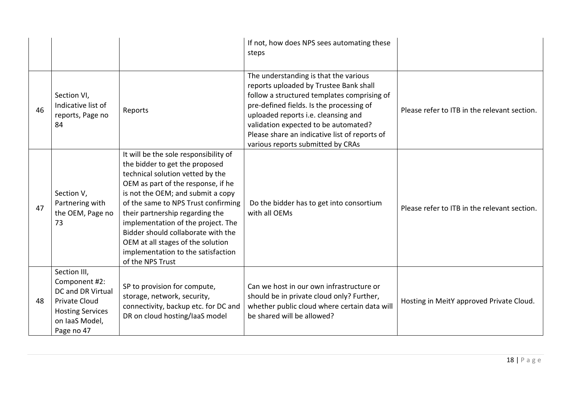|    |                                                                                                                                              |                                                                                                                                                                                                                                                                                                                                                                                                                                             | If not, how does NPS sees automating these<br>steps                                                                                                                                                                                                                                                                                             |                                              |
|----|----------------------------------------------------------------------------------------------------------------------------------------------|---------------------------------------------------------------------------------------------------------------------------------------------------------------------------------------------------------------------------------------------------------------------------------------------------------------------------------------------------------------------------------------------------------------------------------------------|-------------------------------------------------------------------------------------------------------------------------------------------------------------------------------------------------------------------------------------------------------------------------------------------------------------------------------------------------|----------------------------------------------|
| 46 | Section VI,<br>Indicative list of<br>reports, Page no<br>84                                                                                  | Reports                                                                                                                                                                                                                                                                                                                                                                                                                                     | The understanding is that the various<br>reports uploaded by Trustee Bank shall<br>follow a structured templates comprising of<br>pre-defined fields. Is the processing of<br>uploaded reports i.e. cleansing and<br>validation expected to be automated?<br>Please share an indicative list of reports of<br>various reports submitted by CRAs | Please refer to ITB in the relevant section. |
| 47 | Section V,<br>Partnering with<br>the OEM, Page no<br>73                                                                                      | It will be the sole responsibility of<br>the bidder to get the proposed<br>technical solution vetted by the<br>OEM as part of the response, if he<br>is not the OEM; and submit a copy<br>of the same to NPS Trust confirming<br>their partnership regarding the<br>implementation of the project. The<br>Bidder should collaborate with the<br>OEM at all stages of the solution<br>implementation to the satisfaction<br>of the NPS Trust | Do the bidder has to get into consortium<br>with all OEMs                                                                                                                                                                                                                                                                                       | Please refer to ITB in the relevant section. |
| 48 | Section III,<br>Component #2:<br><b>DC and DR Virtual</b><br><b>Private Cloud</b><br><b>Hosting Services</b><br>on laaS Model,<br>Page no 47 | SP to provision for compute,<br>storage, network, security,<br>connectivity, backup etc. for DC and<br>DR on cloud hosting/laaS model                                                                                                                                                                                                                                                                                                       | Can we host in our own infrastructure or<br>should be in private cloud only? Further,<br>whether public cloud where certain data will<br>be shared will be allowed?                                                                                                                                                                             | Hosting in MeitY approved Private Cloud.     |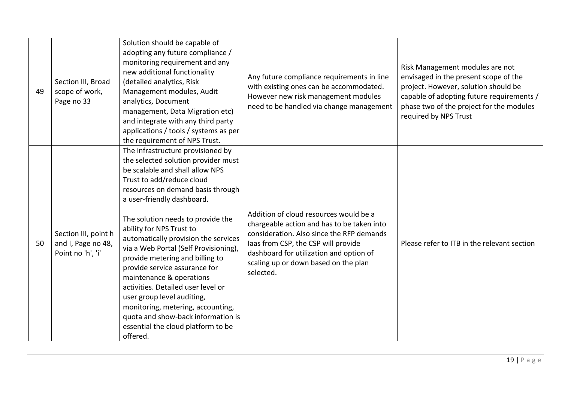| 49 | Section III, Broad<br>scope of work,<br>Page no 33              | Solution should be capable of<br>adopting any future compliance /<br>monitoring requirement and any<br>new additional functionality<br>(detailed analytics, Risk<br>Management modules, Audit<br>analytics, Document<br>management, Data Migration etc)<br>and integrate with any third party<br>applications / tools / systems as per<br>the requirement of NPS Trust.                                                                                                                                                                                                                                                                                        | Any future compliance requirements in line<br>with existing ones can be accommodated.<br>However new risk management modules<br>need to be handled via change management                                                                                                 | Risk Management modules are not<br>envisaged in the present scope of the<br>project. However, solution should be<br>capable of adopting future requirements /<br>phase two of the project for the modules<br>required by NPS Trust |
|----|-----------------------------------------------------------------|----------------------------------------------------------------------------------------------------------------------------------------------------------------------------------------------------------------------------------------------------------------------------------------------------------------------------------------------------------------------------------------------------------------------------------------------------------------------------------------------------------------------------------------------------------------------------------------------------------------------------------------------------------------|--------------------------------------------------------------------------------------------------------------------------------------------------------------------------------------------------------------------------------------------------------------------------|------------------------------------------------------------------------------------------------------------------------------------------------------------------------------------------------------------------------------------|
| 50 | Section III, point h<br>and I, Page no 48,<br>Point no 'h', 'i' | The infrastructure provisioned by<br>the selected solution provider must<br>be scalable and shall allow NPS<br>Trust to add/reduce cloud<br>resources on demand basis through<br>a user-friendly dashboard.<br>The solution needs to provide the<br>ability for NPS Trust to<br>automatically provision the services<br>via a Web Portal (Self Provisioning),<br>provide metering and billing to<br>provide service assurance for<br>maintenance & operations<br>activities. Detailed user level or<br>user group level auditing,<br>monitoring, metering, accounting,<br>quota and show-back information is<br>essential the cloud platform to be<br>offered. | Addition of cloud resources would be a<br>chargeable action and has to be taken into<br>consideration. Also since the RFP demands<br>laas from CSP, the CSP will provide<br>dashboard for utilization and option of<br>scaling up or down based on the plan<br>selected. | Please refer to ITB in the relevant section                                                                                                                                                                                        |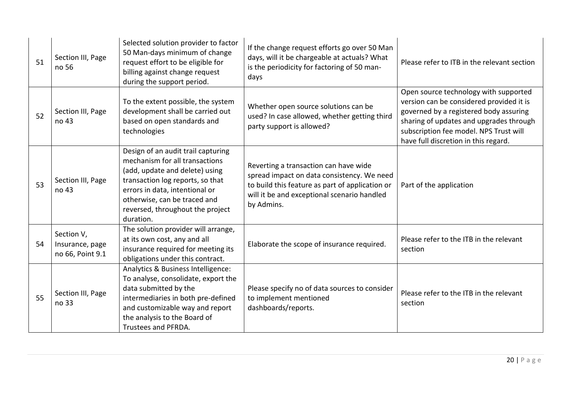| 51 | Section III, Page<br>no 56                        | Selected solution provider to factor<br>50 Man-days minimum of change<br>request effort to be eligible for<br>billing against change request<br>during the support period.                                                                                    | If the change request efforts go over 50 Man<br>days, will it be chargeable at actuals? What<br>is the periodicity for factoring of 50 man-<br>days                                                 | Please refer to ITB in the relevant section                                                                                                                                                                                                              |
|----|---------------------------------------------------|---------------------------------------------------------------------------------------------------------------------------------------------------------------------------------------------------------------------------------------------------------------|-----------------------------------------------------------------------------------------------------------------------------------------------------------------------------------------------------|----------------------------------------------------------------------------------------------------------------------------------------------------------------------------------------------------------------------------------------------------------|
| 52 | Section III, Page<br>no 43                        | To the extent possible, the system<br>development shall be carried out<br>based on open standards and<br>technologies                                                                                                                                         | Whether open source solutions can be<br>used? In case allowed, whether getting third<br>party support is allowed?                                                                                   | Open source technology with supported<br>version can be considered provided it is<br>governed by a registered body assuring<br>sharing of updates and upgrades through<br>subscription fee model. NPS Trust will<br>have full discretion in this regard. |
| 53 | Section III, Page<br>no 43                        | Design of an audit trail capturing<br>mechanism for all transactions<br>(add, update and delete) using<br>transaction log reports, so that<br>errors in data, intentional or<br>otherwise, can be traced and<br>reversed, throughout the project<br>duration. | Reverting a transaction can have wide<br>spread impact on data consistency. We need<br>to build this feature as part of application or<br>will it be and exceptional scenario handled<br>by Admins. | Part of the application                                                                                                                                                                                                                                  |
| 54 | Section V,<br>Insurance, page<br>no 66, Point 9.1 | The solution provider will arrange,<br>at its own cost, any and all<br>insurance required for meeting its<br>obligations under this contract.                                                                                                                 | Elaborate the scope of insurance required.                                                                                                                                                          | Please refer to the ITB in the relevant<br>section                                                                                                                                                                                                       |
| 55 | Section III, Page<br>no 33                        | Analytics & Business Intelligence:<br>To analyse, consolidate, export the<br>data submitted by the<br>intermediaries in both pre-defined<br>and customizable way and report<br>the analysis to the Board of<br>Trustees and PFRDA.                            | Please specify no of data sources to consider<br>to implement mentioned<br>dashboards/reports.                                                                                                      | Please refer to the ITB in the relevant<br>section                                                                                                                                                                                                       |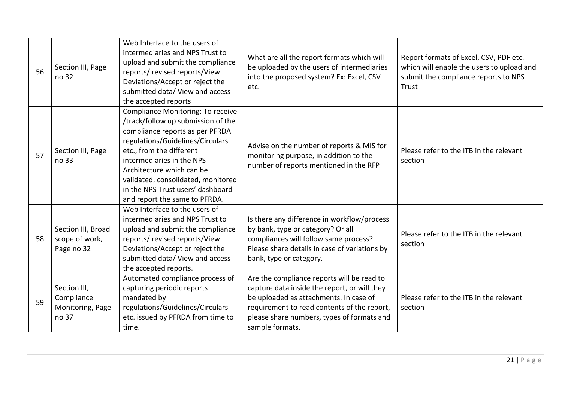| 56 | Section III, Page<br>no 32                              | Web Interface to the users of<br>intermediaries and NPS Trust to<br>upload and submit the compliance<br>reports/ revised reports/View<br>Deviations/Accept or reject the<br>submitted data/ View and access<br>the accepted reports                                                                                                              | What are all the report formats which will<br>be uploaded by the users of intermediaries<br>into the proposed system? Ex: Excel, CSV<br>etc.                                                                                                         | Report formats of Excel, CSV, PDF etc.<br>which will enable the users to upload and<br>submit the compliance reports to NPS<br>Trust |
|----|---------------------------------------------------------|--------------------------------------------------------------------------------------------------------------------------------------------------------------------------------------------------------------------------------------------------------------------------------------------------------------------------------------------------|------------------------------------------------------------------------------------------------------------------------------------------------------------------------------------------------------------------------------------------------------|--------------------------------------------------------------------------------------------------------------------------------------|
| 57 | Section III, Page<br>no 33                              | Compliance Monitoring: To receive<br>/track/follow up submission of the<br>compliance reports as per PFRDA<br>regulations/Guidelines/Circulars<br>etc., from the different<br>intermediaries in the NPS<br>Architecture which can be<br>validated, consolidated, monitored<br>in the NPS Trust users' dashboard<br>and report the same to PFRDA. | Advise on the number of reports & MIS for<br>monitoring purpose, in addition to the<br>number of reports mentioned in the RFP                                                                                                                        | Please refer to the ITB in the relevant<br>section                                                                                   |
| 58 | Section III, Broad<br>scope of work,<br>Page no 32      | Web Interface to the users of<br>intermediaries and NPS Trust to<br>upload and submit the compliance<br>reports/ revised reports/View<br>Deviations/Accept or reject the<br>submitted data/ View and access<br>the accepted reports.                                                                                                             | Is there any difference in workflow/process<br>by bank, type or category? Or all<br>compliances will follow same process?<br>Please share details in case of variations by<br>bank, type or category.                                                | Please refer to the ITB in the relevant<br>section                                                                                   |
| 59 | Section III,<br>Compliance<br>Monitoring, Page<br>no 37 | Automated compliance process of<br>capturing periodic reports<br>mandated by<br>regulations/Guidelines/Circulars<br>etc. issued by PFRDA from time to<br>time.                                                                                                                                                                                   | Are the compliance reports will be read to<br>capture data inside the report, or will they<br>be uploaded as attachments. In case of<br>requirement to read contents of the report,<br>please share numbers, types of formats and<br>sample formats. | Please refer to the ITB in the relevant<br>section                                                                                   |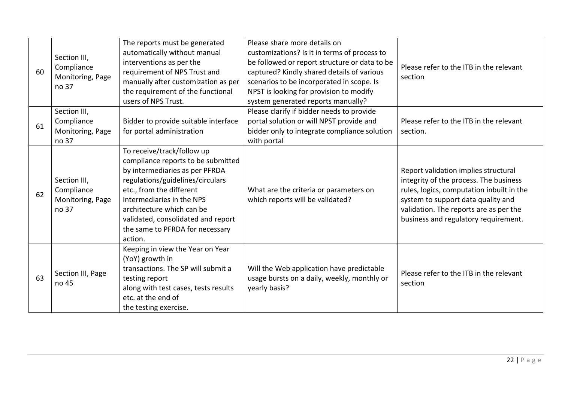| 60 | Section III,<br>Compliance<br>Monitoring, Page<br>no 37 | The reports must be generated<br>automatically without manual<br>interventions as per the<br>requirement of NPS Trust and<br>manually after customization as per<br>the requirement of the functional<br>users of NPS Trust.                                                                                     | Please share more details on<br>customizations? Is it in terms of process to<br>be followed or report structure or data to be<br>captured? Kindly shared details of various<br>scenarios to be incorporated in scope. Is<br>NPST is looking for provision to modify<br>system generated reports manually? | Please refer to the ITB in the relevant<br>section                                                                                                                                                                                                  |
|----|---------------------------------------------------------|------------------------------------------------------------------------------------------------------------------------------------------------------------------------------------------------------------------------------------------------------------------------------------------------------------------|-----------------------------------------------------------------------------------------------------------------------------------------------------------------------------------------------------------------------------------------------------------------------------------------------------------|-----------------------------------------------------------------------------------------------------------------------------------------------------------------------------------------------------------------------------------------------------|
| 61 | Section III,<br>Compliance<br>Monitoring, Page<br>no 37 | Bidder to provide suitable interface<br>for portal administration                                                                                                                                                                                                                                                | Please clarify if bidder needs to provide<br>portal solution or will NPST provide and<br>bidder only to integrate compliance solution<br>with portal                                                                                                                                                      | Please refer to the ITB in the relevant<br>section.                                                                                                                                                                                                 |
| 62 | Section III,<br>Compliance<br>Monitoring, Page<br>no 37 | To receive/track/follow up<br>compliance reports to be submitted<br>by intermediaries as per PFRDA<br>regulations/guidelines/circulars<br>etc., from the different<br>intermediaries in the NPS<br>architecture which can be<br>validated, consolidated and report<br>the same to PFRDA for necessary<br>action. | What are the criteria or parameters on<br>which reports will be validated?                                                                                                                                                                                                                                | Report validation implies structural<br>integrity of the process. The business<br>rules, logics, computation inbuilt in the<br>system to support data quality and<br>validation. The reports are as per the<br>business and regulatory requirement. |
| 63 | Section III, Page<br>no 45                              | Keeping in view the Year on Year<br>(YoY) growth in<br>transactions. The SP will submit a<br>testing report<br>along with test cases, tests results<br>etc. at the end of<br>the testing exercise.                                                                                                               | Will the Web application have predictable<br>usage bursts on a daily, weekly, monthly or<br>yearly basis?                                                                                                                                                                                                 | Please refer to the ITB in the relevant<br>section                                                                                                                                                                                                  |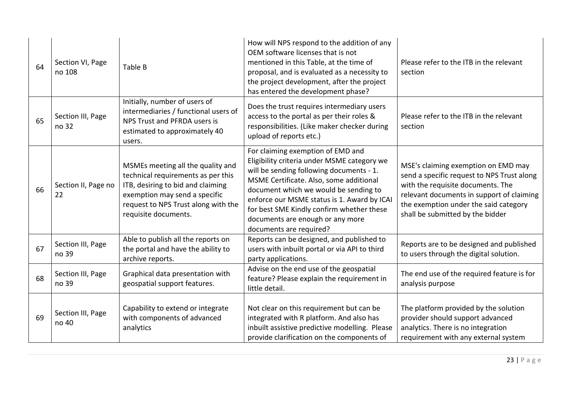| 64 | Section VI, Page<br>no 108 | Table B                                                                                                                                                                                                      | How will NPS respond to the addition of any<br>OEM software licenses that is not<br>mentioned in this Table, at the time of<br>proposal, and is evaluated as a necessity to<br>the project development, after the project<br>has entered the development phase?                                                                                                             | Please refer to the ITB in the relevant<br>section                                                                                                                                                                                               |
|----|----------------------------|--------------------------------------------------------------------------------------------------------------------------------------------------------------------------------------------------------------|-----------------------------------------------------------------------------------------------------------------------------------------------------------------------------------------------------------------------------------------------------------------------------------------------------------------------------------------------------------------------------|--------------------------------------------------------------------------------------------------------------------------------------------------------------------------------------------------------------------------------------------------|
| 65 | Section III, Page<br>no 32 | Initially, number of users of<br>intermediaries / functional users of<br>NPS Trust and PFRDA users is<br>estimated to approximately 40<br>users.                                                             | Does the trust requires intermediary users<br>access to the portal as per their roles &<br>responsibilities. (Like maker checker during<br>upload of reports etc.)                                                                                                                                                                                                          | Please refer to the ITB in the relevant<br>section                                                                                                                                                                                               |
| 66 | Section II, Page no<br>22  | MSMEs meeting all the quality and<br>technical requirements as per this<br>ITB, desiring to bid and claiming<br>exemption may send a specific<br>request to NPS Trust along with the<br>requisite documents. | For claiming exemption of EMD and<br>Eligibility criteria under MSME category we<br>will be sending following documents - 1.<br>MSME Certificate. Also, some additional<br>document which we would be sending to<br>enforce our MSME status is 1. Award by ICAI<br>for best SME Kindly confirm whether these<br>documents are enough or any more<br>documents are required? | MSE's claiming exemption on EMD may<br>send a specific request to NPS Trust along<br>with the requisite documents. The<br>relevant documents in support of claiming<br>the exemption under the said category<br>shall be submitted by the bidder |
| 67 | Section III, Page<br>no 39 | Able to publish all the reports on<br>the portal and have the ability to<br>archive reports.                                                                                                                 | Reports can be designed, and published to<br>users with inbuilt portal or via API to third<br>party applications.                                                                                                                                                                                                                                                           | Reports are to be designed and published<br>to users through the digital solution.                                                                                                                                                               |
| 68 | Section III, Page<br>no 39 | Graphical data presentation with<br>geospatial support features.                                                                                                                                             | Advise on the end use of the geospatial<br>feature? Please explain the requirement in<br>little detail.                                                                                                                                                                                                                                                                     | The end use of the required feature is for<br>analysis purpose                                                                                                                                                                                   |
| 69 | Section III, Page<br>no 40 | Capability to extend or integrate<br>with components of advanced<br>analytics                                                                                                                                | Not clear on this requirement but can be<br>integrated with R platform. And also has<br>inbuilt assistive predictive modelling. Please<br>provide clarification on the components of                                                                                                                                                                                        | The platform provided by the solution<br>provider should support advanced<br>analytics. There is no integration<br>requirement with any external system                                                                                          |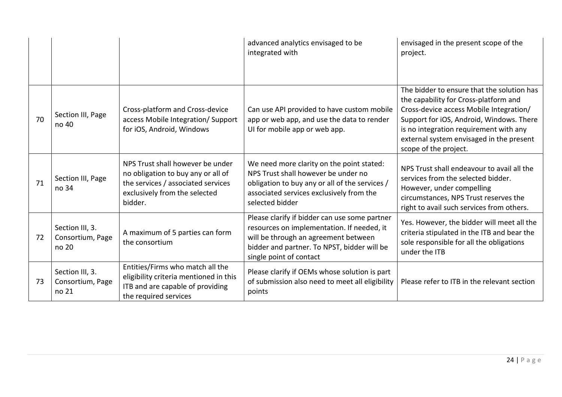|    |                                              |                                                                                                                                                          | advanced analytics envisaged to be<br>integrated with                                                                                                                                                         | envisaged in the present scope of the<br>project.                                                                                                                                                                                                                                         |
|----|----------------------------------------------|----------------------------------------------------------------------------------------------------------------------------------------------------------|---------------------------------------------------------------------------------------------------------------------------------------------------------------------------------------------------------------|-------------------------------------------------------------------------------------------------------------------------------------------------------------------------------------------------------------------------------------------------------------------------------------------|
| 70 | Section III, Page<br>no 40                   | Cross-platform and Cross-device<br>access Mobile Integration/Support<br>for iOS, Android, Windows                                                        | Can use API provided to have custom mobile<br>app or web app, and use the data to render<br>UI for mobile app or web app.                                                                                     | The bidder to ensure that the solution has<br>the capability for Cross-platform and<br>Cross-device access Mobile Integration/<br>Support for iOS, Android, Windows. There<br>is no integration requirement with any<br>external system envisaged in the present<br>scope of the project. |
| 71 | Section III, Page<br>no 34                   | NPS Trust shall however be under<br>no obligation to buy any or all of<br>the services / associated services<br>exclusively from the selected<br>bidder. | We need more clarity on the point stated:<br>NPS Trust shall however be under no<br>obligation to buy any or all of the services /<br>associated services exclusively from the<br>selected bidder             | NPS Trust shall endeavour to avail all the<br>services from the selected bidder.<br>However, under compelling<br>circumstances, NPS Trust reserves the<br>right to avail such services from others.                                                                                       |
| 72 | Section III, 3.<br>Consortium, Page<br>no 20 | A maximum of 5 parties can form<br>the consortium                                                                                                        | Please clarify if bidder can use some partner<br>resources on implementation. If needed, it<br>will be through an agreement between<br>bidder and partner. To NPST, bidder will be<br>single point of contact | Yes. However, the bidder will meet all the<br>criteria stipulated in the ITB and bear the<br>sole responsible for all the obligations<br>under the ITB                                                                                                                                    |
| 73 | Section III, 3.<br>Consortium, Page<br>no 21 | Entities/Firms who match all the<br>eligibility criteria mentioned in this<br>ITB and are capable of providing<br>the required services                  | Please clarify if OEMs whose solution is part<br>of submission also need to meet all eligibility<br>points                                                                                                    | Please refer to ITB in the relevant section                                                                                                                                                                                                                                               |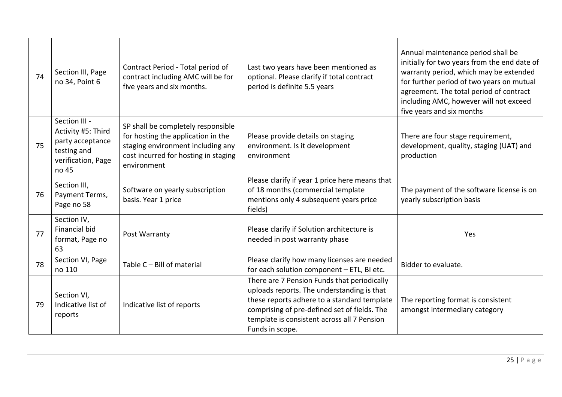| 74 | Section III, Page<br>no 34, Point 6                                                                   | Contract Period - Total period of<br>contract including AMC will be for<br>five years and six months.                                                                | Last two years have been mentioned as<br>optional. Please clarify if total contract<br>period is definite 5.5 years                                                                                                                                        | Annual maintenance period shall be<br>initially for two years from the end date of<br>warranty period, which may be extended<br>for further period of two years on mutual<br>agreement. The total period of contract<br>including AMC, however will not exceed<br>five years and six months |
|----|-------------------------------------------------------------------------------------------------------|----------------------------------------------------------------------------------------------------------------------------------------------------------------------|------------------------------------------------------------------------------------------------------------------------------------------------------------------------------------------------------------------------------------------------------------|---------------------------------------------------------------------------------------------------------------------------------------------------------------------------------------------------------------------------------------------------------------------------------------------|
| 75 | Section III -<br>Activity #5: Third<br>party acceptance<br>testing and<br>verification, Page<br>no 45 | SP shall be completely responsible<br>for hosting the application in the<br>staging environment including any<br>cost incurred for hosting in staging<br>environment | Please provide details on staging<br>environment. Is it development<br>environment                                                                                                                                                                         | There are four stage requirement,<br>development, quality, staging (UAT) and<br>production                                                                                                                                                                                                  |
| 76 | Section III,<br>Payment Terms,<br>Page no 58                                                          | Software on yearly subscription<br>basis. Year 1 price                                                                                                               | Please clarify if year 1 price here means that<br>of 18 months (commercial template<br>mentions only 4 subsequent years price<br>fields)                                                                                                                   | The payment of the software license is on<br>yearly subscription basis                                                                                                                                                                                                                      |
| 77 | Section IV,<br><b>Financial bid</b><br>format, Page no<br>63                                          | Post Warranty                                                                                                                                                        | Please clarify if Solution architecture is<br>needed in post warranty phase                                                                                                                                                                                | Yes                                                                                                                                                                                                                                                                                         |
| 78 | Section VI, Page<br>no 110                                                                            | Table C - Bill of material                                                                                                                                           | Please clarify how many licenses are needed<br>for each solution component - ETL, BI etc.                                                                                                                                                                  | Bidder to evaluate.                                                                                                                                                                                                                                                                         |
| 79 | Section VI,<br>Indicative list of<br>reports                                                          | Indicative list of reports                                                                                                                                           | There are 7 Pension Funds that periodically<br>uploads reports. The understanding is that<br>these reports adhere to a standard template<br>comprising of pre-defined set of fields. The<br>template is consistent across all 7 Pension<br>Funds in scope. | The reporting format is consistent<br>amongst intermediary category                                                                                                                                                                                                                         |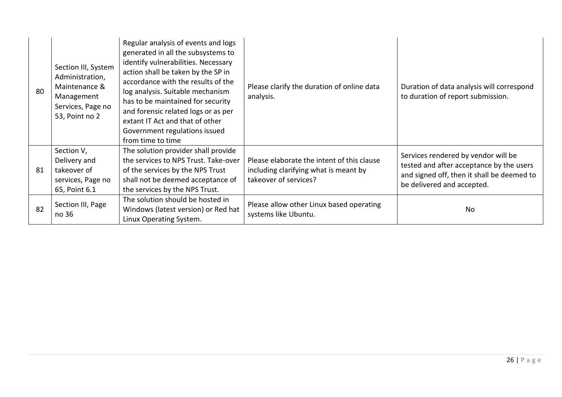| 80 | Section III, System<br>Administration,<br>Maintenance &<br>Management<br>Services, Page no<br>53, Point no 2 | Regular analysis of events and logs<br>generated in all the subsystems to<br>identify vulnerabilities. Necessary<br>action shall be taken by the SP in<br>accordance with the results of the<br>log analysis. Suitable mechanism<br>has to be maintained for security<br>and forensic related logs or as per<br>extant IT Act and that of other<br>Government regulations issued<br>from time to time | Please clarify the duration of online data<br>analysis.                                                      | Duration of data analysis will correspond<br>to duration of report submission.                                                                              |
|----|--------------------------------------------------------------------------------------------------------------|-------------------------------------------------------------------------------------------------------------------------------------------------------------------------------------------------------------------------------------------------------------------------------------------------------------------------------------------------------------------------------------------------------|--------------------------------------------------------------------------------------------------------------|-------------------------------------------------------------------------------------------------------------------------------------------------------------|
| 81 | Section V,<br>Delivery and<br>takeover of<br>services, Page no<br>65, Point 6.1                              | The solution provider shall provide<br>the services to NPS Trust. Take-over<br>of the services by the NPS Trust<br>shall not be deemed acceptance of<br>the services by the NPS Trust.                                                                                                                                                                                                                | Please elaborate the intent of this clause<br>including clarifying what is meant by<br>takeover of services? | Services rendered by vendor will be<br>tested and after acceptance by the users<br>and signed off, then it shall be deemed to<br>be delivered and accepted. |
| 82 | Section III, Page<br>no 36                                                                                   | The solution should be hosted in<br>Windows (latest version) or Red hat<br>Linux Operating System.                                                                                                                                                                                                                                                                                                    | Please allow other Linux based operating<br>systems like Ubuntu.                                             | No.                                                                                                                                                         |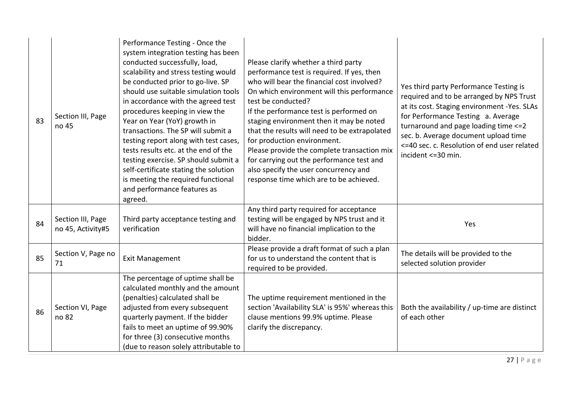| 83 | Section III, Page<br>no 45             | Performance Testing - Once the<br>system integration testing has been<br>conducted successfully, load,<br>scalability and stress testing would<br>be conducted prior to go-live. SP<br>should use suitable simulation tools<br>in accordance with the agreed test<br>procedures keeping in view the<br>Year on Year (YoY) growth in<br>transactions. The SP will submit a<br>testing report along with test cases,<br>tests results etc. at the end of the<br>testing exercise. SP should submit a<br>self-certificate stating the solution<br>is meeting the required functional<br>and performance features as<br>agreed. | Please clarify whether a third party<br>performance test is required. If yes, then<br>who will bear the financial cost involved?<br>On which environment will this performance<br>test be conducted?<br>If the performance test is performed on<br>staging environment then it may be noted<br>that the results will need to be extrapolated<br>for production environment.<br>Please provide the complete transaction mix<br>for carrying out the performance test and<br>also specify the user concurrency and<br>response time which are to be achieved. | Yes third party Performance Testing is<br>required and to be arranged by NPS Trust<br>at its cost. Staging environment -Yes. SLAs<br>for Performance Testing a. Average<br>turnaround and page loading time <= 2<br>sec. b. Average document upload time<br><=40 sec. c. Resolution of end user related<br>incident <= 30 min. |
|----|----------------------------------------|-----------------------------------------------------------------------------------------------------------------------------------------------------------------------------------------------------------------------------------------------------------------------------------------------------------------------------------------------------------------------------------------------------------------------------------------------------------------------------------------------------------------------------------------------------------------------------------------------------------------------------|-------------------------------------------------------------------------------------------------------------------------------------------------------------------------------------------------------------------------------------------------------------------------------------------------------------------------------------------------------------------------------------------------------------------------------------------------------------------------------------------------------------------------------------------------------------|--------------------------------------------------------------------------------------------------------------------------------------------------------------------------------------------------------------------------------------------------------------------------------------------------------------------------------|
| 84 | Section III, Page<br>no 45, Activity#5 | Third party acceptance testing and<br>verification                                                                                                                                                                                                                                                                                                                                                                                                                                                                                                                                                                          | Any third party required for acceptance<br>testing will be engaged by NPS trust and it<br>will have no financial implication to the<br>bidder.                                                                                                                                                                                                                                                                                                                                                                                                              | Yes                                                                                                                                                                                                                                                                                                                            |
| 85 | Section V, Page no<br>71               | <b>Exit Management</b>                                                                                                                                                                                                                                                                                                                                                                                                                                                                                                                                                                                                      | Please provide a draft format of such a plan<br>for us to understand the content that is<br>required to be provided.                                                                                                                                                                                                                                                                                                                                                                                                                                        | The details will be provided to the<br>selected solution provider                                                                                                                                                                                                                                                              |
| 86 | Section VI, Page<br>no 82              | The percentage of uptime shall be<br>calculated monthly and the amount<br>(penalties) calculated shall be<br>adjusted from every subsequent<br>quarterly payment. If the bidder<br>fails to meet an uptime of 99.90%<br>for three (3) consecutive months<br>(due to reason solely attributable to                                                                                                                                                                                                                                                                                                                           | The uptime requirement mentioned in the<br>section 'Availability SLA' is 95%' whereas this<br>clause mentions 99.9% uptime. Please<br>clarify the discrepancy.                                                                                                                                                                                                                                                                                                                                                                                              | Both the availability / up-time are distinct<br>of each other                                                                                                                                                                                                                                                                  |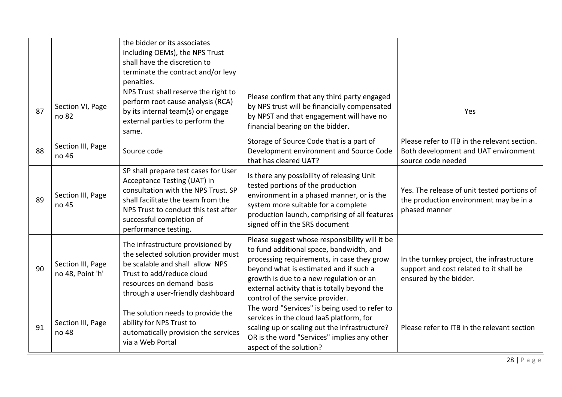|    |                                       | the bidder or its associates<br>including OEMs), the NPS Trust<br>shall have the discretion to<br>terminate the contract and/or levy<br>penalties.                                                                                           |                                                                                                                                                                                                                                                                                                                   |                                                                                                                 |
|----|---------------------------------------|----------------------------------------------------------------------------------------------------------------------------------------------------------------------------------------------------------------------------------------------|-------------------------------------------------------------------------------------------------------------------------------------------------------------------------------------------------------------------------------------------------------------------------------------------------------------------|-----------------------------------------------------------------------------------------------------------------|
| 87 | Section VI, Page<br>no 82             | NPS Trust shall reserve the right to<br>perform root cause analysis (RCA)<br>by its internal team(s) or engage<br>external parties to perform the<br>same.                                                                                   | Please confirm that any third party engaged<br>by NPS trust will be financially compensated<br>by NPST and that engagement will have no<br>financial bearing on the bidder.                                                                                                                                       | Yes                                                                                                             |
| 88 | Section III, Page<br>no 46            | Source code                                                                                                                                                                                                                                  | Storage of Source Code that is a part of<br>Development environment and Source Code<br>that has cleared UAT?                                                                                                                                                                                                      | Please refer to ITB in the relevant section.<br>Both development and UAT environment<br>source code needed      |
| 89 | Section III, Page<br>no 45            | SP shall prepare test cases for User<br>Acceptance Testing (UAT) in<br>consultation with the NPS Trust. SP<br>shall facilitate the team from the<br>NPS Trust to conduct this test after<br>successful completion of<br>performance testing. | Is there any possibility of releasing Unit<br>tested portions of the production<br>environment in a phased manner, or is the<br>system more suitable for a complete<br>production launch, comprising of all features<br>signed off in the SRS document                                                            | Yes. The release of unit tested portions of<br>the production environment may be in a<br>phased manner          |
| 90 | Section III, Page<br>no 48, Point 'h' | The infrastructure provisioned by<br>the selected solution provider must<br>be scalable and shall allow NPS<br>Trust to add/reduce cloud<br>resources on demand basis<br>through a user-friendly dashboard                                   | Please suggest whose responsibility will it be<br>to fund additional space, bandwidth, and<br>processing requirements, in case they grow<br>beyond what is estimated and if such a<br>growth is due to a new regulation or an<br>external activity that is totally beyond the<br>control of the service provider. | In the turnkey project, the infrastructure<br>support and cost related to it shall be<br>ensured by the bidder. |
| 91 | Section III, Page<br>no 48            | The solution needs to provide the<br>ability for NPS Trust to<br>automatically provision the services<br>via a Web Portal                                                                                                                    | The word "Services" is being used to refer to<br>services in the cloud laaS platform, for<br>scaling up or scaling out the infrastructure?<br>OR is the word "Services" implies any other<br>aspect of the solution?                                                                                              | Please refer to ITB in the relevant section                                                                     |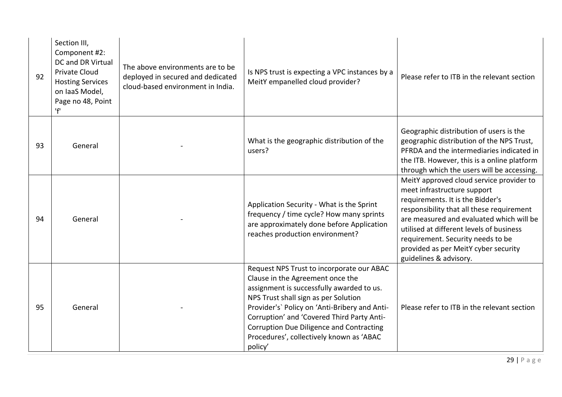| 92 | Section III,<br>Component #2:<br><b>DC and DR Virtual</b><br><b>Private Cloud</b><br><b>Hosting Services</b><br>on laaS Model,<br>Page no 48, Point<br>'f' | The above environments are to be<br>deployed in secured and dedicated<br>cloud-based environment in India. | Is NPS trust is expecting a VPC instances by a<br>MeitY empanelled cloud provider?                                                                                                                                                                                                                                                                                   | Please refer to ITB in the relevant section                                                                                                                                                                                                                                                                                                             |
|----|------------------------------------------------------------------------------------------------------------------------------------------------------------|------------------------------------------------------------------------------------------------------------|----------------------------------------------------------------------------------------------------------------------------------------------------------------------------------------------------------------------------------------------------------------------------------------------------------------------------------------------------------------------|---------------------------------------------------------------------------------------------------------------------------------------------------------------------------------------------------------------------------------------------------------------------------------------------------------------------------------------------------------|
| 93 | General                                                                                                                                                    |                                                                                                            | What is the geographic distribution of the<br>users?                                                                                                                                                                                                                                                                                                                 | Geographic distribution of users is the<br>geographic distribution of the NPS Trust,<br>PFRDA and the intermediaries indicated in<br>the ITB. However, this is a online platform<br>through which the users will be accessing.                                                                                                                          |
| 94 | General                                                                                                                                                    |                                                                                                            | Application Security - What is the Sprint<br>frequency / time cycle? How many sprints<br>are approximately done before Application<br>reaches production environment?                                                                                                                                                                                                | MeitY approved cloud service provider to<br>meet infrastructure support<br>requirements. It is the Bidder's<br>responsibility that all these requirement<br>are measured and evaluated which will be<br>utilised at different levels of business<br>requirement. Security needs to be<br>provided as per MeitY cyber security<br>guidelines & advisory. |
| 95 | General                                                                                                                                                    |                                                                                                            | Request NPS Trust to incorporate our ABAC<br>Clause in the Agreement once the<br>assignment is successfully awarded to us.<br>NPS Trust shall sign as per Solution<br>Provider's' Policy on 'Anti-Bribery and Anti-<br>Corruption' and 'Covered Third Party Anti-<br>Corruption Due Diligence and Contracting<br>Procedures', collectively known as 'ABAC<br>policy' | Please refer to ITB in the relevant section                                                                                                                                                                                                                                                                                                             |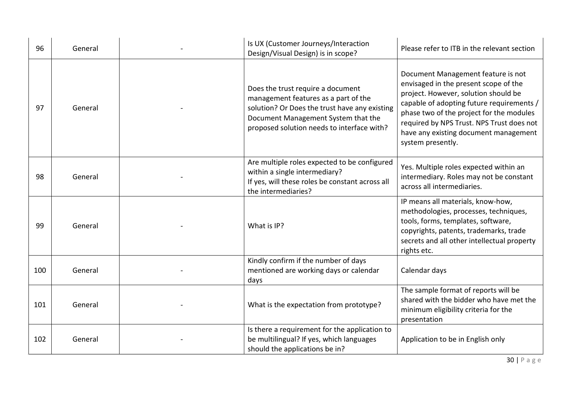| 96  | General | Is UX (Customer Journeys/Interaction<br>Design/Visual Design) is in scope?                                                                                                                                      | Please refer to ITB in the relevant section                                                                                                                                                                                                                                                                             |
|-----|---------|-----------------------------------------------------------------------------------------------------------------------------------------------------------------------------------------------------------------|-------------------------------------------------------------------------------------------------------------------------------------------------------------------------------------------------------------------------------------------------------------------------------------------------------------------------|
| 97  | General | Does the trust require a document<br>management features as a part of the<br>solution? Or Does the trust have any existing<br>Document Management System that the<br>proposed solution needs to interface with? | Document Management feature is not<br>envisaged in the present scope of the<br>project. However, solution should be<br>capable of adopting future requirements /<br>phase two of the project for the modules<br>required by NPS Trust. NPS Trust does not<br>have any existing document management<br>system presently. |
| 98  | General | Are multiple roles expected to be configured<br>within a single intermediary?<br>If yes, will these roles be constant across all<br>the intermediaries?                                                         | Yes. Multiple roles expected within an<br>intermediary. Roles may not be constant<br>across all intermediaries.                                                                                                                                                                                                         |
| 99  | General | What is IP?                                                                                                                                                                                                     | IP means all materials, know-how,<br>methodologies, processes, techniques,<br>tools, forms, templates, software,<br>copyrights, patents, trademarks, trade<br>secrets and all other intellectual property<br>rights etc.                                                                                                |
| 100 | General | Kindly confirm if the number of days<br>mentioned are working days or calendar<br>days                                                                                                                          | Calendar days                                                                                                                                                                                                                                                                                                           |
| 101 | General | What is the expectation from prototype?                                                                                                                                                                         | The sample format of reports will be<br>shared with the bidder who have met the<br>minimum eligibility criteria for the<br>presentation                                                                                                                                                                                 |
| 102 | General | Is there a requirement for the application to<br>be multilingual? If yes, which languages<br>should the applications be in?                                                                                     | Application to be in English only                                                                                                                                                                                                                                                                                       |